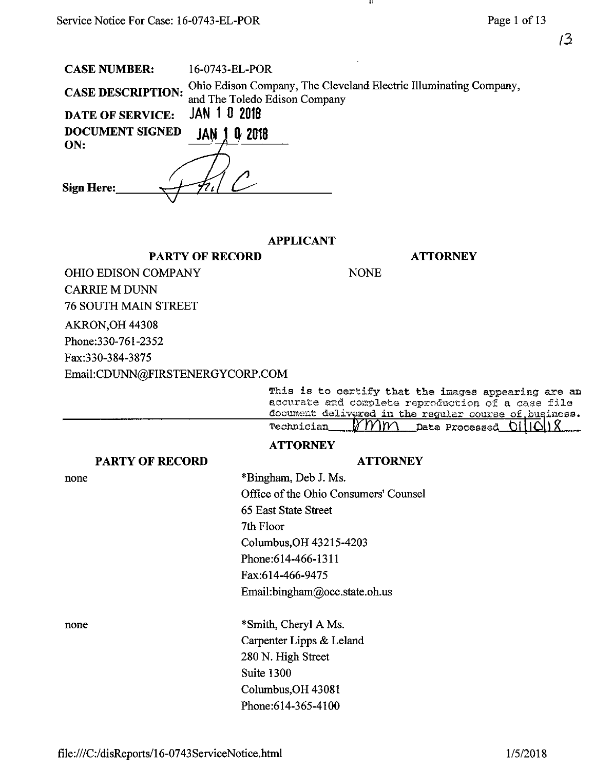CASE NUMBER: 16-0743-EL-POR

| <b>CASE DESCRIPTION:</b><br><b>JAN 1 0 2018</b><br><b>DATE OF SERVICE:</b> | Ohio Edison Company, The Cleveland Electric Illuminating Company,<br>and The Toledo Edison Company                                  |
|----------------------------------------------------------------------------|-------------------------------------------------------------------------------------------------------------------------------------|
| <b>DOCUMENT SIGNED</b><br>0 2018<br>JAN 1<br>ON:                           |                                                                                                                                     |
| <b>Sign Here:</b>                                                          |                                                                                                                                     |
| <b>PARTY OF RECORD</b>                                                     | <b>APPLICANT</b><br><b>ATTORNEY</b>                                                                                                 |
| OHIO EDISON COMPANY                                                        | <b>NONE</b>                                                                                                                         |
| <b>CARRIE M DUNN</b>                                                       |                                                                                                                                     |
| <b>76 SOUTH MAIN STREET</b>                                                |                                                                                                                                     |
| AKRON, OH 44308                                                            |                                                                                                                                     |
| Phone: 330-761-2352                                                        |                                                                                                                                     |
| Fax:330-384-3875                                                           |                                                                                                                                     |
| Email:CDUNN@FIRSTENERGYCORP.COM                                            |                                                                                                                                     |
|                                                                            | This is to certify that the images appear<br>accurate and complete reproduction of a<br>document delivered in the reculer course of |

a<mark>ring are an</mark><br>. case file accurate and complete reproduction of a casa file<br>document delivered in the requier course of busines document delivs^ed in the regular course o£.business\* Data Processed

**ATTORNEY** 

 $\mathbf{H}$ 

## **ATTORNEY**

\*Bingham, Deb J. Ms.

none

Office of the Ohio Consumers' Counsel 65 East State Street 7th Floor Columbus,OH 43215-4203 Phone:614-466-1311 Fax:614-466-9475 Email:bingham@occ.state.oh.us

none

\*Smith, Cheryl A Ms. Carpenter Lipps & Leland 280 N. High Street Suite 1300 Columbus,OH 43081 Phone:614-365-4100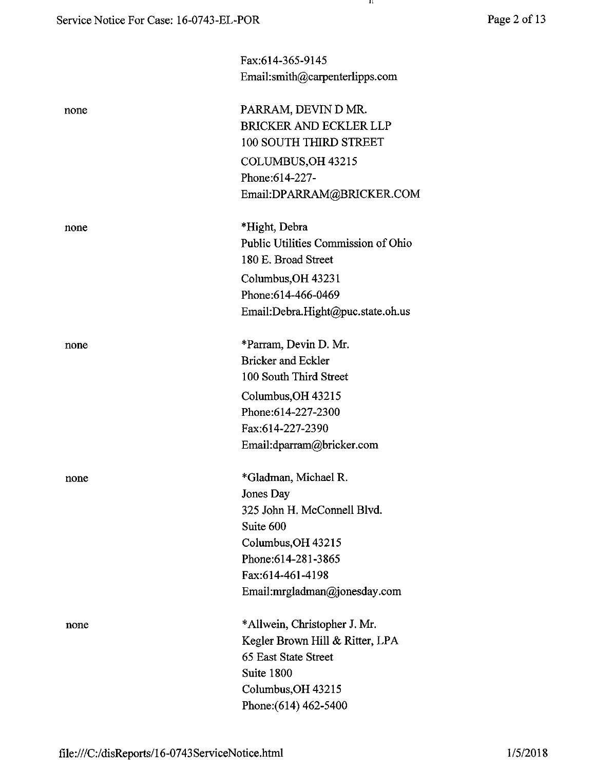|      | Fax:614-365-9145                    |  |
|------|-------------------------------------|--|
|      | Email:smith@carpenterlipps.com      |  |
| none | PARRAM, DEVIN D MR.                 |  |
|      | <b>BRICKER AND ECKLER LLP</b>       |  |
|      | 100 SOUTH THIRD STREET              |  |
|      | COLUMBUS, OH 43215                  |  |
|      | Phone:614-227-                      |  |
|      | Email:DPARRAM@BRICKER.COM           |  |
| none | *Hight, Debra                       |  |
|      | Public Utilities Commission of Ohio |  |
|      | 180 E. Broad Street                 |  |
|      | Columbus, OH 43231                  |  |
|      | Phone: 614-466-0469                 |  |
|      | Email:Debra.Hight@puc.state.oh.us   |  |
| none | *Parram, Devin D. Mr.               |  |
|      | <b>Bricker and Eckler</b>           |  |
|      | 100 South Third Street              |  |
|      | Columbus, OH 43215                  |  |
|      | Phone:614-227-2300                  |  |
|      | Fax:614-227-2390                    |  |
|      | Email:dparram@bricker.com           |  |
| none | *Gladman, Michael R.                |  |
|      | Jones Day                           |  |
|      | 325 John H. McConnell Blvd.         |  |
|      | Suite 600                           |  |
|      | Columbus, OH 43215                  |  |
|      | Phone: 614-281-3865                 |  |
|      | Fax:614-461-4198                    |  |
|      | Email:mrgladman@jonesday.com        |  |
| none | *Allwein, Christopher J. Mr.        |  |
|      | Kegler Brown Hill & Ritter, LPA     |  |
|      | 65 East State Street                |  |
|      | Suite 1800                          |  |
|      | Columbus, OH 43215                  |  |
|      | Phone: (614) 462-5400               |  |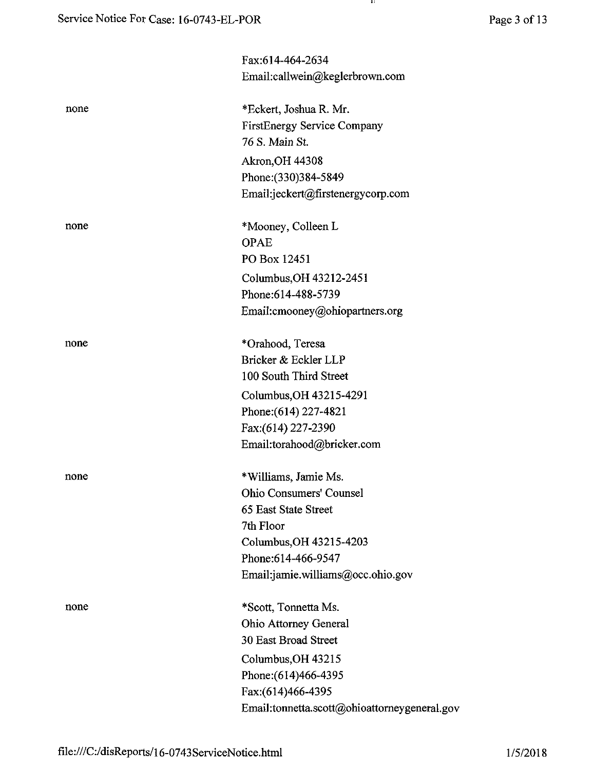| Page 3 of 13 |  |
|--------------|--|
|              |  |

|      | Fax:614-464-2634                             |
|------|----------------------------------------------|
|      | Email:callwein@keglerbrown.com               |
|      |                                              |
| none | *Eckert, Joshua R. Mr.                       |
|      | <b>FirstEnergy Service Company</b>           |
|      | 76 S. Main St.                               |
|      | <b>Akron, OH 44308</b>                       |
|      | Phone: (330) 384-5849                        |
|      | Email:jeckert@firstenergycorp.com            |
|      |                                              |
| none | *Mooney, Colleen L                           |
|      | <b>OPAE</b>                                  |
|      | PO Box 12451                                 |
|      | Columbus, OH 43212-2451                      |
|      | Phone: 614-488-5739                          |
|      | Email:cmooney@ohiopartners.org               |
|      |                                              |
| none | *Orahood, Teresa                             |
|      | Bricker & Eckler LLP                         |
|      | 100 South Third Street                       |
|      | Columbus, OH 43215-4291                      |
|      | Phone: (614) 227-4821                        |
|      | Fax:(614) 227-2390                           |
|      | Email:torahood@bricker.com                   |
|      |                                              |
| none | *Williams, Jamie Ms.                         |
|      | <b>Ohio Consumers' Counsel</b>               |
|      | 65 East State Street                         |
|      | 7th Floor                                    |
|      | Columbus, OH 43215-4203                      |
|      | Phone:614-466-9547                           |
|      | Email:jamie.williams@occ.ohio.gov            |
| none | *Scott, Tonnetta Ms.                         |
|      | Ohio Attorney General                        |
|      | 30 East Broad Street                         |
|      | Columbus, OH 43215                           |
|      | Phone: (614) 466-4395                        |
|      | Fax:(614)466-4395                            |
|      | Email:tonnetta.scott@ohioattorneygeneral.gov |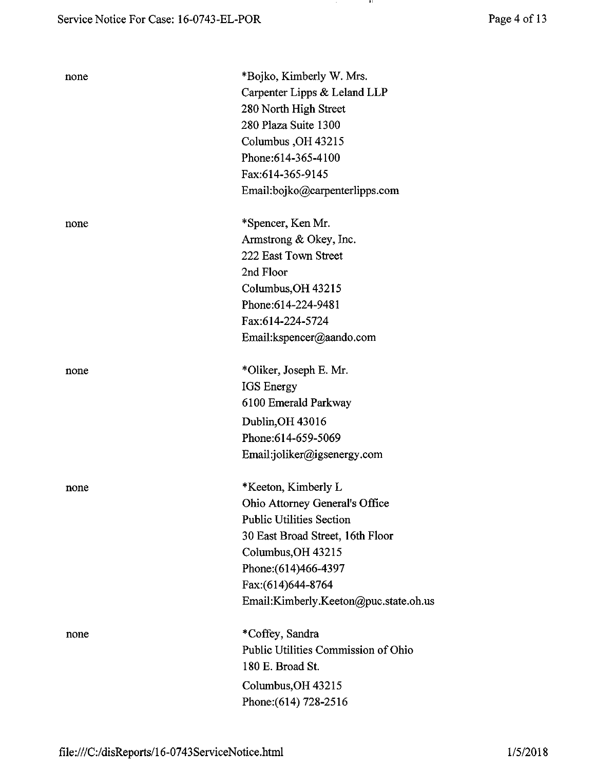| Page 4 of 13 |
|--------------|
|--------------|

| none | *Bojko, Kimberly W. Mrs.<br>Carpenter Lipps & Leland LLP<br>280 North High Street<br>280 Plaza Suite 1300<br>Columbus, OH 43215<br>Phone: 614-365-4100<br>Fax:614-365-9145<br>Email:bojko@carpenterlipps.com                              |
|------|-------------------------------------------------------------------------------------------------------------------------------------------------------------------------------------------------------------------------------------------|
| none | *Spencer, Ken Mr.<br>Armstrong & Okey, Inc.<br>222 East Town Street<br>2nd Floor<br>Columbus, OH 43215<br>Phone:614-224-9481<br>Fax:614-224-5724<br>Email:kspencer@aando.com                                                              |
| none | *Oliker, Joseph E. Mr.<br><b>IGS</b> Energy<br>6100 Emerald Parkway<br>Dublin, OH 43016<br>Phone: 614-659-5069<br>Email:joliker@igsenergy.com                                                                                             |
| none | *Keeton, Kimberly L<br>Ohio Attorney General's Office<br><b>Public Utilities Section</b><br>30 East Broad Street, 16th Floor<br>Columbus, OH 43215<br>Phone: (614) 466-4397<br>Fax:(614)644-8764<br>Email:Kimberly.Keeton@puc.state.oh.us |
| none | *Coffey, Sandra<br>Public Utilities Commission of Ohio<br>180 E. Broad St.<br>Columbus, OH 43215<br>Phone: (614) 728-2516                                                                                                                 |

 $\sim$ 

and a ba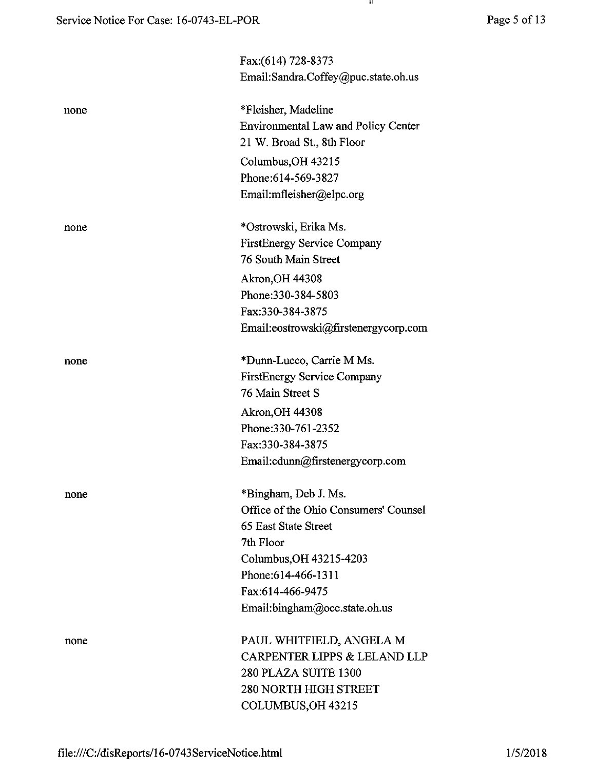-41.

|      | Fax:(614) 728-8373                         |
|------|--------------------------------------------|
|      | Email:Sandra.Coffey@puc.state.oh.us        |
| none | *Fleisher, Madeline                        |
|      | <b>Environmental Law and Policy Center</b> |
|      | 21 W. Broad St., 8th Floor                 |
|      | Columbus, OH 43215                         |
|      | Phone: 614-569-3827                        |
|      | Email:mfleisher@elpc.org                   |
| none | *Ostrowski, Erika Ms.                      |
|      | <b>FirstEnergy Service Company</b>         |
|      | 76 South Main Street                       |
|      | <b>Akron, OH 44308</b>                     |
|      | Phone: 330-384-5803                        |
|      | Fax:330-384-3875                           |
|      | Email:eostrowski@firstenergycorp.com       |
| none | *Dunn-Lucco, Carrie M Ms.                  |
|      | <b>FirstEnergy Service Company</b>         |
|      | 76 Main Street S                           |
|      | <b>Akron, OH 44308</b>                     |
|      | Phone: 330-761-2352                        |
|      | Fax:330-384-3875                           |
|      | Email:cdunn@firstenergycorp.com            |
| none | *Bingham, Deb J. Ms.                       |
|      | Office of the Ohio Consumers' Counsel      |
|      | 65 East State Street                       |
|      | 7th Floor                                  |
|      | Columbus, OH 43215-4203                    |
|      | Phone: 614-466-1311                        |
|      | Fax:614-466-9475                           |
|      | Email:bingham@occ.state.oh.us              |
| none | PAUL WHITFIELD, ANGELA M                   |
|      | <b>CARPENTER LIPPS &amp; LELAND LLP</b>    |
|      | 280 PLAZA SUITE 1300                       |
|      | <b>280 NORTH HIGH STREET</b>               |
|      | COLUMBUS, OH 43215                         |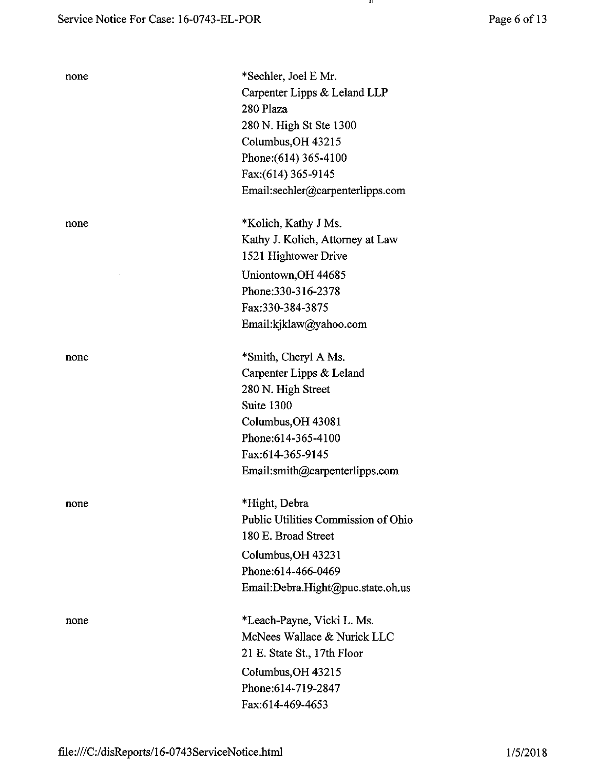none

e \*Sechler, Joel E Mr. Carpenter Lipps & Leland LLP 280 Plaza 280 N. High St Ste 1300 Columbus,OH 43215 Phone: (614) 365-4100 Fax:(614)365-9145 Email:sechler@carpenterlipps.com

-11

none \*Kolich, Kathy J Ms. Kathy J. Kolich, Attorney at Law 1521 Hightower Drive Uniontown, OH 44685 Phone:330-316-2378 Fax:330-384-3875 Email:kjklaw@yahoo.com

> \*Smith, Cheryl A Ms. Carpenter Lipps & Leland 280 N. High Street Suite 1300 Columbus,OH 43081 Phone:614-365-4100 Fax:614-365-9145 Email:smith@carpenterlipps.com

none \*Hight, Debra Public Utilities Commission of Ohio 180 E. Broad Street Columbus,OH 43231 Phone:614-466-0469 Email:Debra.Hight@puc.state.oh.us

none \*Leach-Payne, Vicki L. Ms. McNees Wallace & Nurick LLC 21 E. State St., 17th Floor Columbus,OH 43215 Phone:614-719-2847 Fax:614-469-4653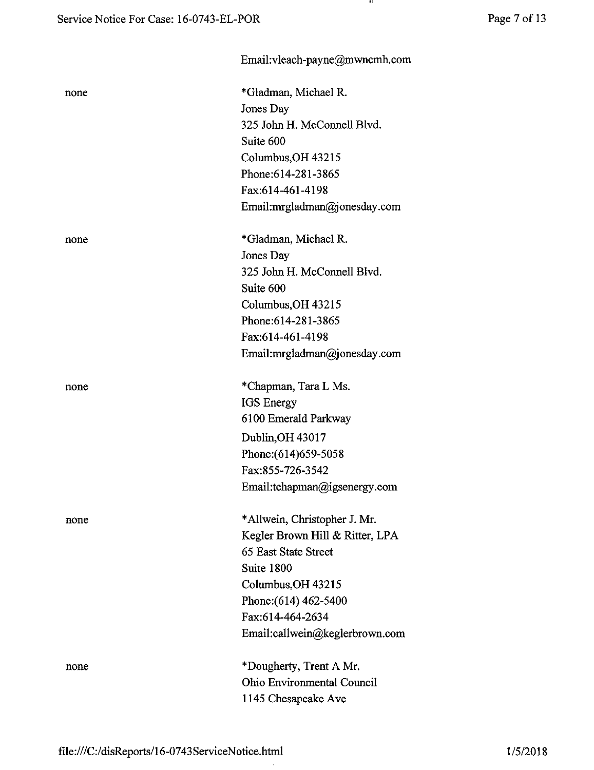| none | *Gladman, Michael R.            |
|------|---------------------------------|
|      | Jones Day                       |
|      | 325 John H. McConnell Blvd.     |
|      | Suite 600                       |
|      | Columbus, OH 43215              |
|      | Phone: 614-281-3865             |
|      | Fax:614-461-4198                |
|      | Email:mrgladman@jonesday.com    |
| none | *Gladman, Michael R.            |
|      | Jones Day                       |
|      | 325 John H. McConnell Blvd.     |
|      | Suite 600                       |
|      | Columbus, OH 43215              |
|      | Phone: 614-281-3865             |
|      | Fax:614-461-4198                |
|      | Email:mrgladman@jonesday.com    |
| none | *Chapman, Tara L Ms.            |
|      | <b>IGS</b> Energy               |
|      | 6100 Emerald Parkway            |
|      | Dublin, OH 43017                |
|      | Phone: (614) 659-5058           |
|      | Fax:855-726-3542                |
|      | Email:tchapman@igsenergy.com    |
| none | *Allwein, Christopher J. Mr.    |
|      | Kegler Brown Hill & Ritter, LPA |
|      | 65 East State Street            |
|      | Suite 1800                      |
|      | Columbus, OH 43215              |
|      | Phone: (614) 462-5400           |
|      | Fax:614-464-2634                |
|      | Email:callwein@keglerbrown.com  |
| none | *Dougherty, Trent A Mr.         |
|      | Ohio Environmental Council      |
|      | 1145 Chesapeake Ave             |
|      |                                 |

Email:vleach-payne@mwncmh.com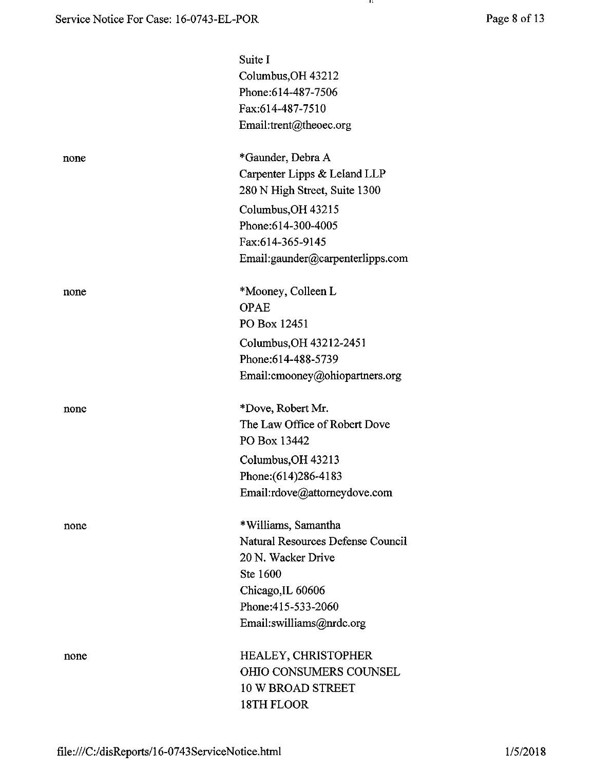|      | Suite I                           |
|------|-----------------------------------|
|      | Columbus, OH 43212                |
|      | Phone: 614-487-7506               |
|      | Fax:614-487-7510                  |
|      | Email:trent@theoec.org            |
| none | *Gaunder, Debra A                 |
|      | Carpenter Lipps & Leland LLP      |
|      | 280 N High Street, Suite 1300     |
|      | Columbus, OH 43215                |
|      | Phone: 614-300-4005               |
|      | Fax:614-365-9145                  |
|      | Email:gaunder@carpenterlipps.com  |
| none | *Mooney, Colleen L                |
|      | <b>OPAE</b>                       |
|      | PO Box 12451                      |
|      | Columbus, OH 43212-2451           |
|      | Phone: 614-488-5739               |
|      | Email:cmooney@ohiopartners.org    |
| none | *Dove, Robert Mr.                 |
|      | The Law Office of Robert Dove     |
|      | PO Box 13442                      |
|      | Columbus, OH 43213                |
|      | Phone: (614) 286-4183             |
|      | Email:rdove@attorneydove.com      |
| none | *Williams, Samantha               |
|      | Natural Resources Defense Council |
|      | 20 N. Wacker Drive                |
|      | Ste 1600                          |
|      | Chicago, IL 60606                 |
|      | Phone: 415-533-2060               |
|      | Email:swilliams@nrdc.org          |
| none | <b>HEALEY, CHRISTOPHER</b>        |
|      | <b>OHIO CONSUMERS COUNSEL</b>     |
|      | <b>10 W BROAD STREET</b>          |
|      | 18TH FLOOR                        |
|      |                                   |

 $\mathbf{u}$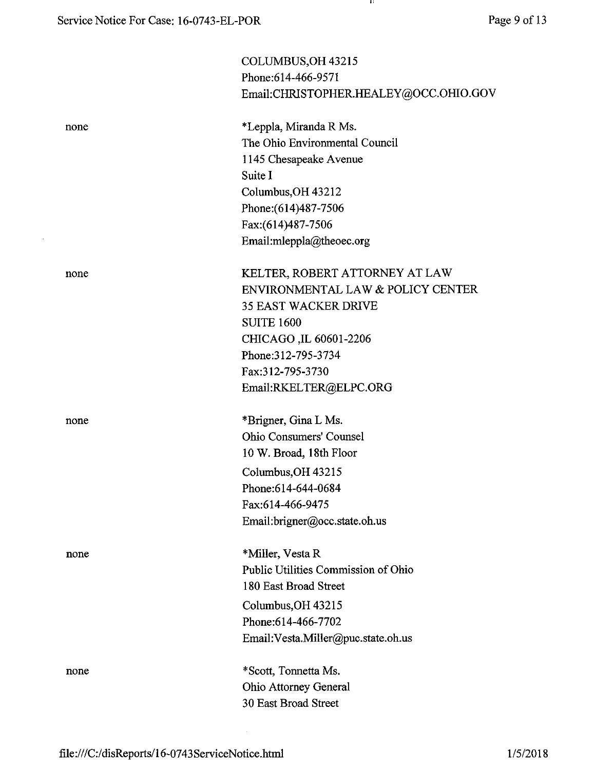$\sim 10^{-11}$ 

- 84 -

|      | COLUMBUS, OH 43215                    |
|------|---------------------------------------|
|      | Phone: 614-466-9571                   |
|      | Email:CHRISTOPHER.HEALEY@OCC.OHIO.GOV |
| none | *Leppla, Miranda R Ms.                |
|      | The Ohio Environmental Council        |
|      | 1145 Chesapeake Avenue                |
|      | Suite I                               |
|      | Columbus, OH 43212                    |
|      | Phone: (614) 487-7506                 |
|      | Fax:(614)487-7506                     |
|      | Email:mleppla@theoec.org              |
| none | KELTER, ROBERT ATTORNEY AT LAW        |
|      | ENVIRONMENTAL LAW & POLICY CENTER     |
|      | <b>35 EAST WACKER DRIVE</b>           |
|      | <b>SUITE 1600</b>                     |
|      | CHICAGO, IL 60601-2206                |
|      | Phone: 312-795-3734                   |
|      | Fax:312-795-3730                      |
|      | Email:RKELTER@ELPC.ORG                |
| none | *Brigner, Gina L Ms.                  |
|      | <b>Ohio Consumers' Counsel</b>        |
|      | 10 W. Broad, 18th Floor               |
|      | Columbus, OH 43215                    |
|      | Phone:614-644-0684                    |
|      | Fax:614-466-9475                      |
|      | Email:brigner@occ.state.oh.us         |
| none | *Miller, Vesta R                      |
|      | Public Utilities Commission of Ohio   |
|      | 180 East Broad Street                 |
|      | Columbus, OH 43215                    |
|      | Phone: 614-466-7702                   |
|      | Email:Vesta.Miller@puc.state.oh.us    |
| none | *Scott, Tonnetta Ms.                  |
|      | <b>Ohio Attorney General</b>          |
|      | 30 East Broad Street                  |

 $\sim$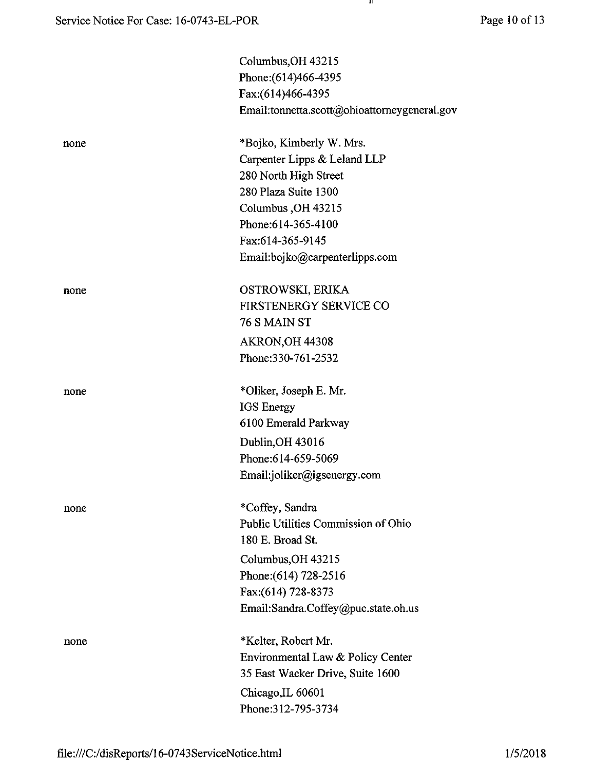|      | Columbus, OH 43215<br>Phone: (614)466-4395<br>Fax:(614)466-4395<br>Email:tonnetta.scott@ohioattorneygeneral.gov           |
|------|---------------------------------------------------------------------------------------------------------------------------|
| none | *Bojko, Kimberly W. Mrs.<br>Carpenter Lipps & Leland LLP<br>280 North High Street<br>280 Plaza Suite 1300                 |
|      | Columbus, OH 43215<br>Phone: 614-365-4100<br>Fax:614-365-9145<br>Email:bojko@carpenterlipps.com                           |
| none | OSTROWSKI, ERIKA<br><b>FIRSTENERGY SERVICE CO</b><br>76 S MAIN ST<br>AKRON, OH 44308<br>Phone: 330-761-2532               |
| none | *Oliker, Joseph E. Mr.<br>IGS Energy<br>6100 Emerald Parkway                                                              |
|      | Dublin, OH 43016<br>Phone: 614-659-5069<br>Email:joliker@igsenergy.com                                                    |
| none | *Coffey, Sandra<br>Public Utilities Commission of Ohio<br>180 E. Broad St.<br>Columbus, OH 43215<br>Phone: (614) 728-2516 |
|      | Fax:(614) 728-8373<br>Email:Sandra.Coffey@puc.state.oh.us                                                                 |
| none | *Kelter, Robert Mr.<br>Environmental Law & Policy Center<br>35 East Wacker Drive, Suite 1600                              |
|      | Chicago, IL 60601<br>Phone: 312-795-3734                                                                                  |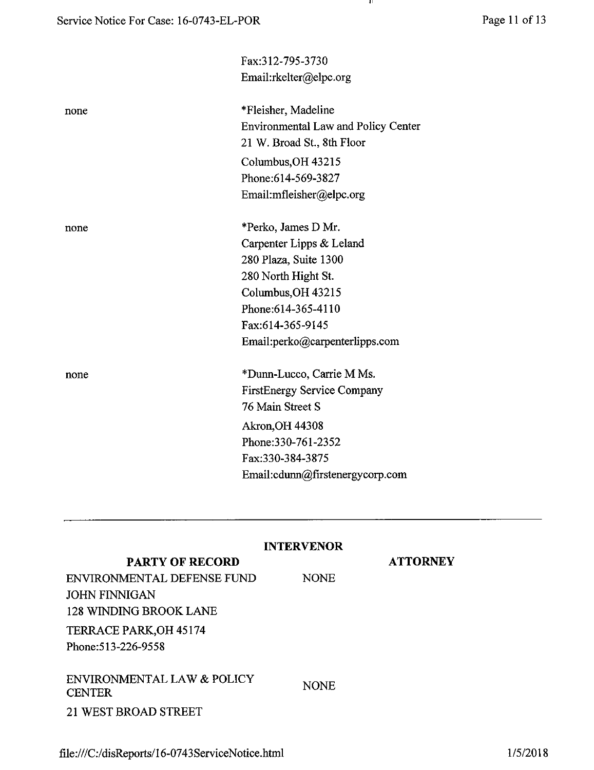-99

|      | Fax:312-795-3730                           |
|------|--------------------------------------------|
|      | Email:rkelter@elpc.org                     |
| none | *Fleisher, Madeline                        |
|      | <b>Environmental Law and Policy Center</b> |
|      | 21 W. Broad St., 8th Floor                 |
|      | Columbus, OH 43215                         |
|      | Phone:614-569-3827                         |
|      | Email:mfleisher@elpc.org                   |
| none | *Perko, James D Mr.                        |
|      | Carpenter Lipps & Leland                   |
|      | 280 Plaza, Suite 1300                      |
|      | 280 North Hight St.                        |
|      | Columbus, OH 43215                         |
|      | Phone: 614-365-4110                        |
|      | Fax:614-365-9145                           |
|      | Email:perko@carpenterlipps.com             |
| none | *Dunn-Lucco, Carrie M Ms.                  |
|      | <b>FirstEnergy Service Company</b>         |
|      | 76 Main Street S                           |
|      | <b>Akron, OH 44308</b>                     |
|      | Phone: 330-761-2352                        |
|      | Fax:330-384-3875                           |
|      | Email:cdunn@firstenergycorp.com            |
|      |                                            |
|      |                                            |
|      |                                            |

| <b>PARTY OF RECORD</b>                                                       | <b>INTERVENOR</b> | <b>ATTORNEY</b> |
|------------------------------------------------------------------------------|-------------------|-----------------|
| ENVIRONMENTAL DEFENSE FUND<br>JOHN FINNIGAN<br><b>128 WINDING BROOK LANE</b> | <b>NONE</b>       |                 |
| TERRACE PARK, OH 45174<br>Phone: 513-226-9558                                |                   |                 |
| ENVIRONMENTAL LAW & POLICY<br><b>CENTER</b>                                  | <b>NONE</b>       |                 |
| <b>21 WEST BROAD STREET</b>                                                  |                   |                 |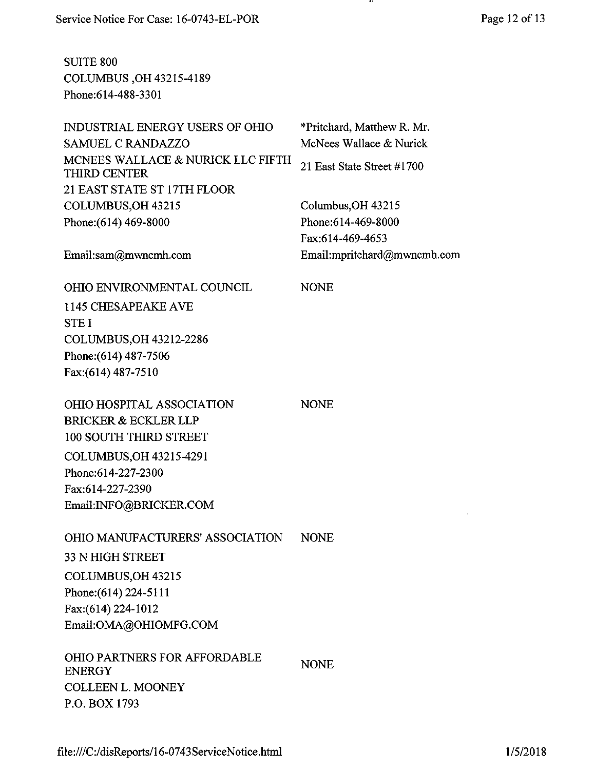| <b>SUITE 800</b><br>COLUMBUS, OH 43215-4189<br>Phone:614-488-3301 |
|-------------------------------------------------------------------|
| <b>INDUSTRIAL ENERGY USERS OF OHIO</b><br>SAMUEL C RANDAZZO       |
| MCNEES WALLACE & NURICK LLC FIFTH<br><b>THIRD CENTER</b>          |
| 21 EAST STATE ST 17TH FLOOR                                       |

COLUMBUS,OH 43215 Phone:(614) 469-8000

Email:sam@mwncmh.com

NONE

NONE

\*Pritchard, Matthew R. Mr. McNees Wallace & Nurick

. .

21 East State Street #1700

Email:mpritchard@mwncmh.com

Columbus,OH 43215 Phone:614-469-8000 Fax:614-469-4653

OHIO ENVIRONMENTAL COUNCIL 1145 CHESAPEAKE AVE STEI COLUMBUS,OH 43212-2286 Phone:(614) 487-7506 Fax:(614) 487-7510

OHIO HOSPITAL ASSOCIATION BRICKER & ECKLER LLP 100 SOUTH THIRD STREET COLUMBUS,OH 43215-4291 Phone:614-227-2300 Fax:614-227-2390 Email:INFO@BRICKER.COM

OHIO MANUFACTURERS' ASSOCIATION 33 N HIGH STREET COLUMBUS,OH 43215 Phone:(614) 224-5111 Fax:(614) 224-1012 Email:OMA@OHIOMFG.COM NONE

OHIO PARTNERS FOR AFFORDABLE ENERGY COLLEEN L. MOONEY P.O. BOX 1793 NONE

file:///C:/disReports/16-0743ServiceNotice.html 1/5/2018